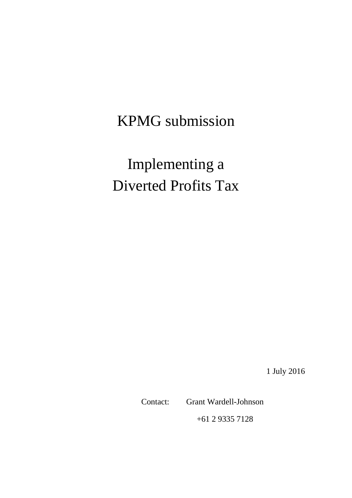KPMG submission

Implementing a Diverted Profits Tax

1 July 2016

Contact: Grant Wardell-Johnson

+61 2 9335 7128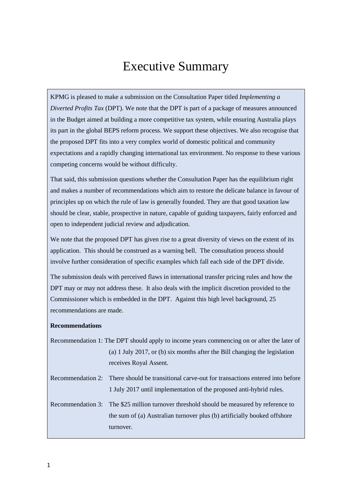# Executive Summary

KPMG is pleased to make a submission on the Consultation Paper titled *Implementing a Diverted Profits Tax* (DPT). We note that the DPT is part of a package of measures announced in the Budget aimed at building a more competitive tax system, while ensuring Australia plays its part in the global BEPS reform process. We support these objectives. We also recognise that the proposed DPT fits into a very complex world of domestic political and community expectations and a rapidly changing international tax environment. No response to these various competing concerns would be without difficulty.

That said, this submission questions whether the Consultation Paper has the equilibrium right and makes a number of recommendations which aim to restore the delicate balance in favour of principles up on which the rule of law is generally founded. They are that good taxation law should be clear, stable, prospective in nature, capable of guiding taxpayers, fairly enforced and open to independent judicial review and adjudication.

We note that the proposed DPT has given rise to a great diversity of views on the extent of its application. This should be construed as a warning bell. The consultation process should involve further consideration of specific examples which fall each side of the DPT divide.

The submission deals with perceived flaws in international transfer pricing rules and how the DPT may or may not address these. It also deals with the implicit discretion provided to the Commissioner which is embedded in the DPT. Against this high level background, 25 recommendations are made.

#### **Recommendations**

Recommendation 1: The DPT should apply to income years commencing on or after the later of (a) 1 July 2017, or (b) six months after the Bill changing the legislation receives Royal Assent.

Recommendation 2: There should be transitional carve-out for transactions entered into before 1 July 2017 until implementation of the proposed anti-hybrid rules.

Recommendation 3: The \$25 million turnover threshold should be measured by reference to the sum of (a) Australian turnover plus (b) artificially booked offshore turnover.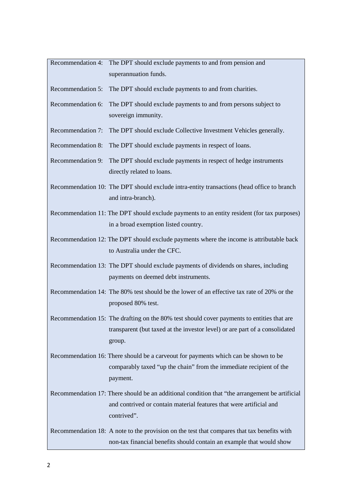| Recommendation 4: | The DPT should exclude payments to and from pension and                                                                                                                              |
|-------------------|--------------------------------------------------------------------------------------------------------------------------------------------------------------------------------------|
|                   | superannuation funds.                                                                                                                                                                |
| Recommendation 5: | The DPT should exclude payments to and from charities.                                                                                                                               |
| Recommendation 6: | The DPT should exclude payments to and from persons subject to                                                                                                                       |
|                   | sovereign immunity.                                                                                                                                                                  |
| Recommendation 7: | The DPT should exclude Collective Investment Vehicles generally.                                                                                                                     |
| Recommendation 8: | The DPT should exclude payments in respect of loans.                                                                                                                                 |
| Recommendation 9: | The DPT should exclude payments in respect of hedge instruments<br>directly related to loans.                                                                                        |
|                   | Recommendation 10: The DPT should exclude intra-entity transactions (head office to branch<br>and intra-branch).                                                                     |
|                   | Recommendation 11: The DPT should exclude payments to an entity resident (for tax purposes)<br>in a broad exemption listed country.                                                  |
|                   | Recommendation 12: The DPT should exclude payments where the income is attributable back<br>to Australia under the CFC.                                                              |
|                   | Recommendation 13: The DPT should exclude payments of dividends on shares, including<br>payments on deemed debt instruments.                                                         |
|                   | Recommendation 14: The 80% test should be the lower of an effective tax rate of 20% or the<br>proposed 80% test.                                                                     |
|                   | Recommendation 15: The drafting on the 80% test should cover payments to entities that are<br>transparent (but taxed at the investor level) or are part of a consolidated<br>group.  |
|                   | Recommendation 16: There should be a carveout for payments which can be shown to be<br>comparably taxed "up the chain" from the immediate recipient of the<br>payment.               |
|                   | Recommendation 17: There should be an additional condition that "the arrangement be artificial<br>and contrived or contain material features that were artificial and<br>contrived". |
|                   | Recommendation 18: A note to the provision on the test that compares that tax benefits with<br>non-tax financial benefits should contain an example that would show                  |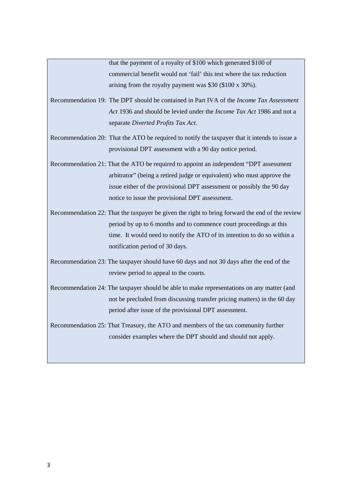that the payment of a royalty of \$100 which generated \$100 of commercial benefit would not 'fail' this test where the tax reduction arising from the royalty payment was \$30 (\$100 x 30%).

- Recommendation 19: The DPT should be contained in Part IVA of the *Income Tax Assessment Act* 1936 and should be levied under the *Income Tax Act* 1986 and not a separate *Diverted Profits Tax Act.*
- Recommendation 20: That the ATO be required to notify the taxpayer that it intends to issue a provisional DPT assessment with a 90 day notice period.
- Recommendation 21: That the ATO be required to appoint an independent "DPT assessment arbitrator" (being a retired judge or equivalent) who must approve the issue either of the provisional DPT assessment or possibly the 90 day notice to issue the provisional DPT assessment.
- Recommendation 22: That the taxpayer be given the right to bring forward the end of the review period by up to 6 months and to commence court proceedings at this time. It would need to notify the ATO of its intention to do so within a notification period of 30 days.
- Recommendation 23: The taxpayer should have 60 days and not 30 days after the end of the review period to appeal to the courts.
- Recommendation 24: The taxpayer should be able to make representations on any matter (and not be precluded from discussing transfer pricing matters) in the 60 day period after issue of the provisional DPT assessment.
- Recommendation 25: That Treasury, the ATO and members of the tax community further consider examples where the DPT should and should not apply.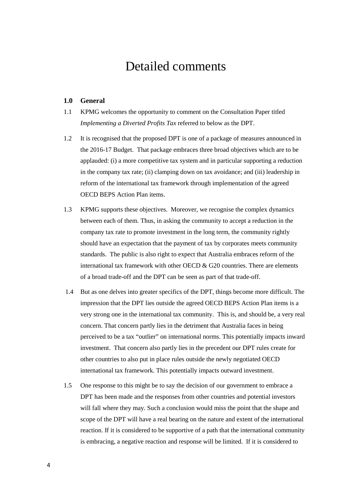# Detailed comments

# **1.0 General**

- 1.1 KPMG welcomes the opportunity to comment on the Consultation Paper titled *Implementing a Diverted Profits Tax* referred to below as the DPT.
- 1.2 It is recognised that the proposed DPT is one of a package of measures announced in the 2016-17 Budget. That package embraces three broad objectives which are to be applauded: (i) a more competitive tax system and in particular supporting a reduction in the company tax rate; (ii) clamping down on tax avoidance; and (iii) leadership in reform of the international tax framework through implementation of the agreed OECD BEPS Action Plan items.
- 1.3 KPMG supports these objectives. Moreover, we recognise the complex dynamics between each of them. Thus, in asking the community to accept a reduction in the company tax rate to promote investment in the long term, the community rightly should have an expectation that the payment of tax by corporates meets community standards. The public is also right to expect that Australia embraces reform of the international tax framework with other OECD  $&$  G20 countries. There are elements of a broad trade-off and the DPT can be seen as part of that trade-off.
- 1.4 But as one delves into greater specifics of the DPT, things become more difficult. The impression that the DPT lies outside the agreed OECD BEPS Action Plan items is a very strong one in the international tax community. This is, and should be, a very real concern. That concern partly lies in the detriment that Australia faces in being perceived to be a tax "outlier" on international norms. This potentially impacts inward investment. That concern also partly lies in the precedent our DPT rules create for other countries to also put in place rules outside the newly negotiated OECD international tax framework. This potentially impacts outward investment.
- 1.5 One response to this might be to say the decision of our government to embrace a DPT has been made and the responses from other countries and potential investors will fall where they may. Such a conclusion would miss the point that the shape and scope of the DPT will have a real bearing on the nature and extent of the international reaction. If it is considered to be supportive of a path that the international community is embracing, a negative reaction and response will be limited. If it is considered to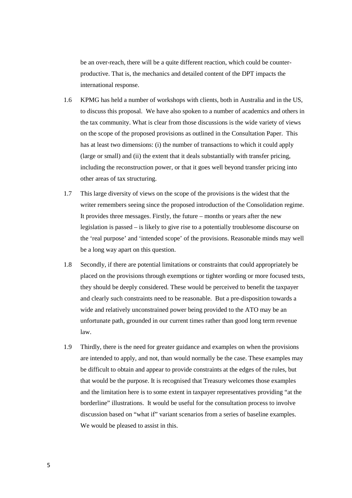be an over-reach, there will be a quite different reaction, which could be counterproductive. That is, the mechanics and detailed content of the DPT impacts the international response.

- 1.6 KPMG has held a number of workshops with clients, both in Australia and in the US, to discuss this proposal. We have also spoken to a number of academics and others in the tax community. What is clear from those discussions is the wide variety of views on the scope of the proposed provisions as outlined in the Consultation Paper. This has at least two dimensions: (i) the number of transactions to which it could apply (large or small) and (ii) the extent that it deals substantially with transfer pricing, including the reconstruction power, or that it goes well beyond transfer pricing into other areas of tax structuring.
- 1.7 This large diversity of views on the scope of the provisions is the widest that the writer remembers seeing since the proposed introduction of the Consolidation regime. It provides three messages. Firstly, the future – months or years after the new legislation is passed – is likely to give rise to a potentially troublesome discourse on the 'real purpose' and 'intended scope' of the provisions. Reasonable minds may well be a long way apart on this question.
- 1.8 Secondly, if there are potential limitations or constraints that could appropriately be placed on the provisions through exemptions or tighter wording or more focused tests, they should be deeply considered. These would be perceived to benefit the taxpayer and clearly such constraints need to be reasonable. But a pre-disposition towards a wide and relatively unconstrained power being provided to the ATO may be an unfortunate path, grounded in our current times rather than good long term revenue law.
- 1.9 Thirdly, there is the need for greater guidance and examples on when the provisions are intended to apply, and not, than would normally be the case. These examples may be difficult to obtain and appear to provide constraints at the edges of the rules, but that would be the purpose. It is recognised that Treasury welcomes those examples and the limitation here is to some extent in taxpayer representatives providing "at the borderline" illustrations. It would be useful for the consultation process to involve discussion based on "what if" variant scenarios from a series of baseline examples. We would be pleased to assist in this.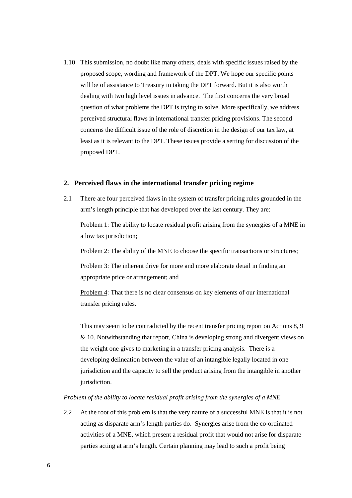1.10 This submission, no doubt like many others, deals with specific issues raised by the proposed scope, wording and framework of the DPT. We hope our specific points will be of assistance to Treasury in taking the DPT forward. But it is also worth dealing with two high level issues in advance. The first concerns the very broad question of what problems the DPT is trying to solve. More specifically, we address perceived structural flaws in international transfer pricing provisions. The second concerns the difficult issue of the role of discretion in the design of our tax law, at least as it is relevant to the DPT. These issues provide a setting for discussion of the proposed DPT.

# **2. Perceived flaws in the international transfer pricing regime**

2.1 There are four perceived flaws in the system of transfer pricing rules grounded in the arm's length principle that has developed over the last century. They are:

Problem 1: The ability to locate residual profit arising from the synergies of a MNE in a low tax jurisdiction;

Problem 2: The ability of the MNE to choose the specific transactions or structures;

Problem 3: The inherent drive for more and more elaborate detail in finding an appropriate price or arrangement; and

Problem 4: That there is no clear consensus on key elements of our international transfer pricing rules.

This may seem to be contradicted by the recent transfer pricing report on Actions 8, 9 & 10. Notwithstanding that report, China is developing strong and divergent views on the weight one gives to marketing in a transfer pricing analysis. There is a developing delineation between the value of an intangible legally located in one jurisdiction and the capacity to sell the product arising from the intangible in another jurisdiction.

#### *Problem of the ability to locate residual profit arising from the synergies of a MNE*

2.2 At the root of this problem is that the very nature of a successful MNE is that it is not acting as disparate arm's length parties do. Synergies arise from the co-ordinated activities of a MNE, which present a residual profit that would not arise for disparate parties acting at arm's length. Certain planning may lead to such a profit being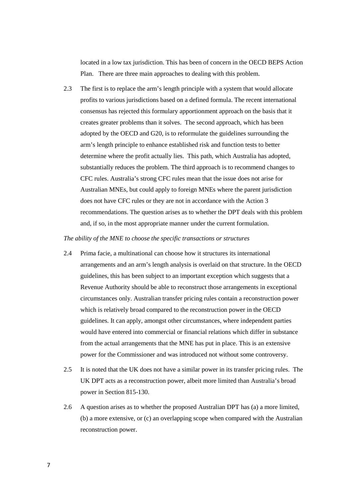located in a low tax jurisdiction. This has been of concern in the OECD BEPS Action Plan. There are three main approaches to dealing with this problem.

2.3 The first is to replace the arm's length principle with a system that would allocate profits to various jurisdictions based on a defined formula. The recent international consensus has rejected this formulary apportionment approach on the basis that it creates greater problems than it solves. The second approach, which has been adopted by the OECD and G20, is to reformulate the guidelines surrounding the arm's length principle to enhance established risk and function tests to better determine where the profit actually lies. This path, which Australia has adopted, substantially reduces the problem. The third approach is to recommend changes to CFC rules. Australia's strong CFC rules mean that the issue does not arise for Australian MNEs, but could apply to foreign MNEs where the parent jurisdiction does not have CFC rules or they are not in accordance with the Action 3 recommendations. The question arises as to whether the DPT deals with this problem and, if so, in the most appropriate manner under the current formulation.

#### *The ability of the MNE to choose the specific transactions or structures*

- 2.4 Prima facie, a multinational can choose how it structures its international arrangements and an arm's length analysis is overlaid on that structure. In the OECD guidelines, this has been subject to an important exception which suggests that a Revenue Authority should be able to reconstruct those arrangements in exceptional circumstances only. Australian transfer pricing rules contain a reconstruction power which is relatively broad compared to the reconstruction power in the OECD guidelines. It can apply, amongst other circumstances, where independent parties would have entered into commercial or financial relations which differ in substance from the actual arrangements that the MNE has put in place. This is an extensive power for the Commissioner and was introduced not without some controversy.
- 2.5 It is noted that the UK does not have a similar power in its transfer pricing rules. The UK DPT acts as a reconstruction power, albeit more limited than Australia's broad power in Section 815-130.
- 2.6 A question arises as to whether the proposed Australian DPT has (a) a more limited, (b) a more extensive, or (c) an overlapping scope when compared with the Australian reconstruction power.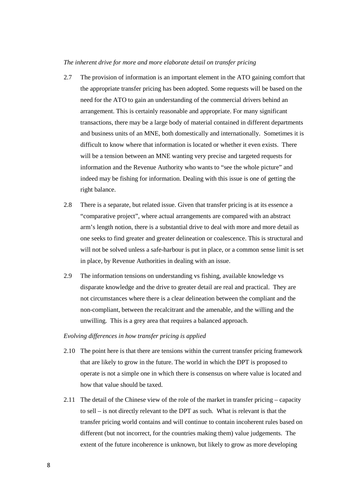#### *The inherent drive for more and more elaborate detail on transfer pricing*

- 2.7 The provision of information is an important element in the ATO gaining comfort that the appropriate transfer pricing has been adopted. Some requests will be based on the need for the ATO to gain an understanding of the commercial drivers behind an arrangement. This is certainly reasonable and appropriate. For many significant transactions, there may be a large body of material contained in different departments and business units of an MNE, both domestically and internationally. Sometimes it is difficult to know where that information is located or whether it even exists. There will be a tension between an MNE wanting very precise and targeted requests for information and the Revenue Authority who wants to "see the whole picture" and indeed may be fishing for information. Dealing with this issue is one of getting the right balance.
- 2.8 There is a separate, but related issue. Given that transfer pricing is at its essence a "comparative project", where actual arrangements are compared with an abstract arm's length notion, there is a substantial drive to deal with more and more detail as one seeks to find greater and greater delineation or coalescence. This is structural and will not be solved unless a safe-harbour is put in place, or a common sense limit is set in place, by Revenue Authorities in dealing with an issue.
- 2.9 The information tensions on understanding vs fishing, available knowledge vs disparate knowledge and the drive to greater detail are real and practical. They are not circumstances where there is a clear delineation between the compliant and the non-compliant, between the recalcitrant and the amenable, and the willing and the unwilling. This is a grey area that requires a balanced approach.

#### *Evolving differences in how transfer pricing is applied*

- 2.10 The point here is that there are tensions within the current transfer pricing framework that are likely to grow in the future. The world in which the DPT is proposed to operate is not a simple one in which there is consensus on where value is located and how that value should be taxed.
- 2.11 The detail of the Chinese view of the role of the market in transfer pricing capacity to sell – is not directly relevant to the DPT as such. What is relevant is that the transfer pricing world contains and will continue to contain incoherent rules based on different (but not incorrect, for the countries making them) value judgements. The extent of the future incoherence is unknown, but likely to grow as more developing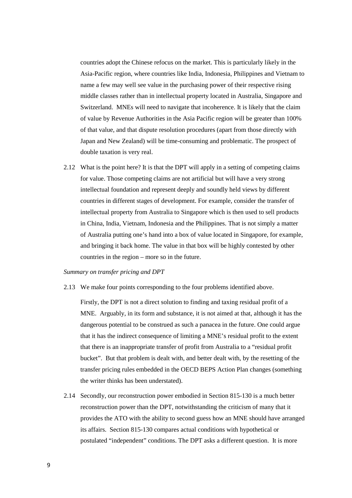countries adopt the Chinese refocus on the market. This is particularly likely in the Asia-Pacific region, where countries like India, Indonesia, Philippines and Vietnam to name a few may well see value in the purchasing power of their respective rising middle classes rather than in intellectual property located in Australia, Singapore and Switzerland. MNEs will need to navigate that incoherence. It is likely that the claim of value by Revenue Authorities in the Asia Pacific region will be greater than 100% of that value, and that dispute resolution procedures (apart from those directly with Japan and New Zealand) will be time-consuming and problematic. The prospect of double taxation is very real.

2.12 What is the point here? It is that the DPT will apply in a setting of competing claims for value. Those competing claims are not artificial but will have a very strong intellectual foundation and represent deeply and soundly held views by different countries in different stages of development. For example, consider the transfer of intellectual property from Australia to Singapore which is then used to sell products in China, India, Vietnam, Indonesia and the Philippines. That is not simply a matter of Australia putting one's hand into a box of value located in Singapore, for example, and bringing it back home. The value in that box will be highly contested by other countries in the region – more so in the future.

#### *Summary on transfer pricing and DPT*

2.13 We make four points corresponding to the four problems identified above.

Firstly, the DPT is not a direct solution to finding and taxing residual profit of a MNE. Arguably, in its form and substance, it is not aimed at that, although it has the dangerous potential to be construed as such a panacea in the future. One could argue that it has the indirect consequence of limiting a MNE's residual profit to the extent that there is an inappropriate transfer of profit from Australia to a "residual profit bucket". But that problem is dealt with, and better dealt with, by the resetting of the transfer pricing rules embedded in the OECD BEPS Action Plan changes (something the writer thinks has been understated).

2.14 Secondly, our reconstruction power embodied in Section 815-130 is a much better reconstruction power than the DPT, notwithstanding the criticism of many that it provides the ATO with the ability to second guess how an MNE should have arranged its affairs. Section 815-130 compares actual conditions with hypothetical or postulated "independent" conditions. The DPT asks a different question. It is more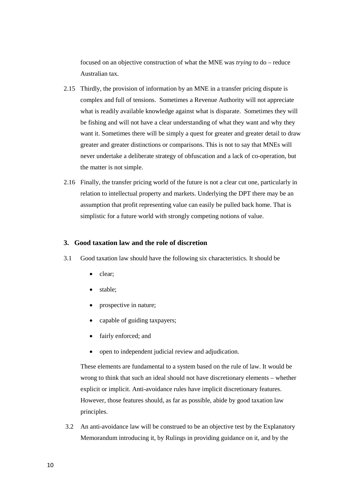focused on an objective construction of what the MNE was *trying* to do – reduce Australian tax.

- 2.15 Thirdly, the provision of information by an MNE in a transfer pricing dispute is complex and full of tensions. Sometimes a Revenue Authority will not appreciate what is readily available knowledge against what is disparate. Sometimes they will be fishing and will not have a clear understanding of what they want and why they want it. Sometimes there will be simply a quest for greater and greater detail to draw greater and greater distinctions or comparisons. This is not to say that MNEs will never undertake a deliberate strategy of obfuscation and a lack of co-operation, but the matter is not simple.
- 2.16 Finally, the transfer pricing world of the future is not a clear cut one, particularly in relation to intellectual property and markets. Underlying the DPT there may be an assumption that profit representing value can easily be pulled back home. That is simplistic for a future world with strongly competing notions of value.

# **3. Good taxation law and the role of discretion**

- 3.1 Good taxation law should have the following six characteristics. It should be
	- clear;
	- stable;
	- prospective in nature;
	- capable of guiding taxpayers;
	- fairly enforced; and
	- open to independent judicial review and adjudication.

These elements are fundamental to a system based on the rule of law. It would be wrong to think that such an ideal should not have discretionary elements – whether explicit or implicit. Anti-avoidance rules have implicit discretionary features. However, those features should, as far as possible, abide by good taxation law principles.

3.2 An anti-avoidance law will be construed to be an objective test by the Explanatory Memorandum introducing it, by Rulings in providing guidance on it, and by the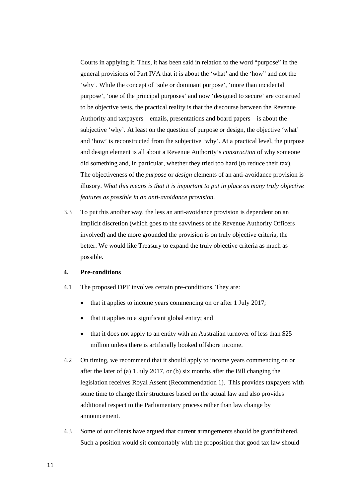Courts in applying it. Thus, it has been said in relation to the word "purpose" in the general provisions of Part IVA that it is about the 'what' and the 'how" and not the 'why'. While the concept of 'sole or dominant purpose', 'more than incidental purpose', 'one of the principal purposes' and now 'designed to secure' are construed to be objective tests, the practical reality is that the discourse between the Revenue Authority and taxpayers – emails, presentations and board papers – is about the subjective 'why'. At least on the question of purpose or design, the objective 'what' and 'how' is reconstructed from the subjective 'why'. At a practical level, the purpose and design element is all about a Revenue Authority's *construction* of why someone did something and, in particular, whether they tried too hard (to reduce their tax). The objectiveness of the *purpose* or *design* elements of an anti-avoidance provision is illusory. *What this means is that it is important to put in place as many truly objective features as possible in an anti-avoidance provision.*

3.3 To put this another way, the less an anti-avoidance provision is dependent on an implicit discretion (which goes to the savviness of the Revenue Authority Officers involved) and the more grounded the provision is on truly objective criteria, the better. We would like Treasury to expand the truly objective criteria as much as possible.

#### **4. Pre-conditions**

- 4.1 The proposed DPT involves certain pre-conditions. They are:
	- that it applies to income years commencing on or after 1 July 2017;
	- that it applies to a significant global entity; and
	- that it does not apply to an entity with an Australian turnover of less than \$25 million unless there is artificially booked offshore income.
- 4.2 On timing, we recommend that it should apply to income years commencing on or after the later of (a) 1 July 2017, or (b) six months after the Bill changing the legislation receives Royal Assent (Recommendation 1). This provides taxpayers with some time to change their structures based on the actual law and also provides additional respect to the Parliamentary process rather than law change by announcement.
- 4.3 Some of our clients have argued that current arrangements should be grandfathered. Such a position would sit comfortably with the proposition that good tax law should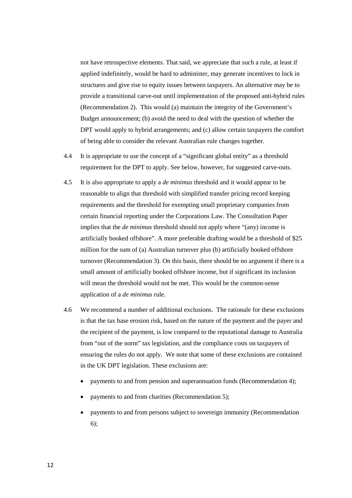not have retrospective elements. That said, we appreciate that such a rule, at least if applied indefinitely, would be hard to administer, may generate incentives to lock in structures and give rise to equity issues between taxpayers. An alternative may be to provide a transitional carve-out until implementation of the proposed anti-hybrid rules (Recommendation 2). This would (a) maintain the integrity of the Government's Budget announcement; (b) avoid the need to deal with the question of whether the DPT would apply to hybrid arrangements; and (c) allow certain taxpayers the comfort of being able to consider the relevant Australian rule changes together.

- 4.4 It is appropriate to use the concept of a "significant global entity" as a threshold requirement for the DPT to apply. See below, however, for suggested carve-outs.
- 4.5 It is also appropriate to apply a *de minimus* threshold and it would appear to be reasonable to align that threshold with simplified transfer pricing record keeping requirements and the threshold for exempting small proprietary companies from certain financial reporting under the Corporations Law. The Consultation Paper implies that the *de minimus* threshold should not apply where "(any) income is artificially booked offshore". A more preferable drafting would be a threshold of \$25 million for the sum of (a) Australian turnover plus (b) artificially booked offshore turnover (Recommendation 3). On this basis, there should be no argument if there is a small amount of artificially booked offshore income, but if significant its inclusion will mean the threshold would not be met. This would be the common-sense application of a *de minimus* rule.
- 4.6 We recommend a number of additional exclusions. The rationale for these exclusions is that the tax base erosion risk, based on the nature of the payment and the payer and the recipient of the payment, is low compared to the reputational damage to Australia from "out of the norm" tax legislation, and the compliance costs on taxpayers of ensuring the rules do not apply. We note that some of these exclusions are contained in the UK DPT legislation. These exclusions are:
	- payments to and from pension and superannuation funds (Recommendation 4);
	- payments to and from charities (Recommendation 5);
	- payments to and from persons subject to sovereign immunity (Recommendation 6);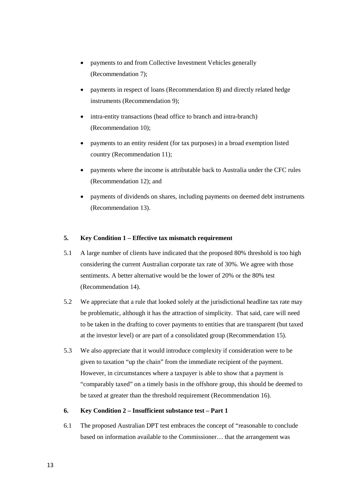- payments to and from Collective Investment Vehicles generally (Recommendation 7);
- payments in respect of loans (Recommendation 8) and directly related hedge instruments (Recommendation 9);
- intra-entity transactions (head office to branch and intra-branch) (Recommendation 10);
- payments to an entity resident (for tax purposes) in a broad exemption listed country (Recommendation 11);
- payments where the income is attributable back to Australia under the CFC rules (Recommendation 12); and
- payments of dividends on shares, including payments on deemed debt instruments (Recommendation 13).

# **5. Key Condition 1 – Effective tax mismatch requirement**

- 5.1 A large number of clients have indicated that the proposed 80% threshold is too high considering the current Australian corporate tax rate of 30%. We agree with those sentiments. A better alternative would be the lower of 20% or the 80% test (Recommendation 14).
- 5.2 We appreciate that a rule that looked solely at the jurisdictional headline tax rate may be problematic, although it has the attraction of simplicity. That said, care will need to be taken in the drafting to cover payments to entities that are transparent (but taxed at the investor level) or are part of a consolidated group (Recommendation 15).
- 5.3 We also appreciate that it would introduce complexity if consideration were to be given to taxation "up the chain" from the immediate recipient of the payment. However, in circumstances where a taxpayer is able to show that a payment is "comparably taxed" on a timely basis in the offshore group, this should be deemed to be taxed at greater than the threshold requirement (Recommendation 16).

### **6. Key Condition 2 – Insufficient substance test – Part 1**

6.1 The proposed Australian DPT test embraces the concept of "reasonable to conclude based on information available to the Commissioner… that the arrangement was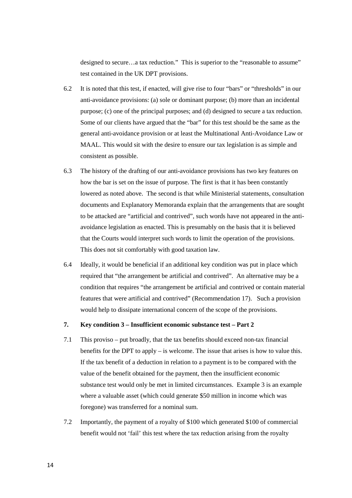designed to secure…a tax reduction." This is superior to the "reasonable to assume" test contained in the UK DPT provisions.

- 6.2 It is noted that this test, if enacted, will give rise to four "bars" or "thresholds" in our anti-avoidance provisions: (a) sole or dominant purpose; (b) more than an incidental purpose; (c) one of the principal purposes; and (d) designed to secure a tax reduction. Some of our clients have argued that the "bar" for this test should be the same as the general anti-avoidance provision or at least the Multinational Anti-Avoidance Law or MAAL. This would sit with the desire to ensure our tax legislation is as simple and consistent as possible.
- 6.3 The history of the drafting of our anti-avoidance provisions has two key features on how the bar is set on the issue of purpose. The first is that it has been constantly lowered as noted above. The second is that while Ministerial statements, consultation documents and Explanatory Memoranda explain that the arrangements that are sought to be attacked are "artificial and contrived", such words have not appeared in the antiavoidance legislation as enacted. This is presumably on the basis that it is believed that the Courts would interpret such words to limit the operation of the provisions. This does not sit comfortably with good taxation law.
- 6.4 Ideally, it would be beneficial if an additional key condition was put in place which required that "the arrangement be artificial and contrived". An alternative may be a condition that requires "the arrangement be artificial and contrived or contain material features that were artificial and contrived" (Recommendation 17). Such a provision would help to dissipate international concern of the scope of the provisions.

# **7. Key condition 3 – Insufficient economic substance test – Part 2**

- 7.1 This proviso put broadly, that the tax benefits should exceed non-tax financial benefits for the DPT to apply  $-$  is welcome. The issue that arises is how to value this. If the tax benefit of a deduction in relation to a payment is to be compared with the value of the benefit obtained for the payment, then the insufficient economic substance test would only be met in limited circumstances. Example 3 is an example where a valuable asset (which could generate \$50 million in income which was foregone) was transferred for a nominal sum.
- 7.2 Importantly, the payment of a royalty of \$100 which generated \$100 of commercial benefit would not 'fail' this test where the tax reduction arising from the royalty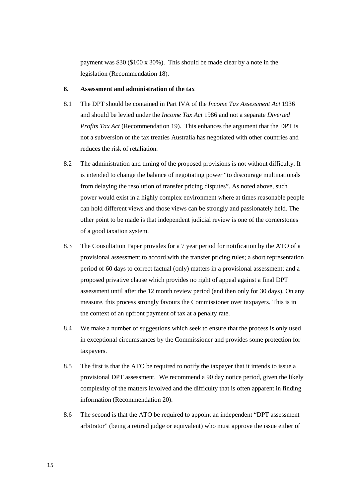payment was \$30 (\$100 x 30%). This should be made clear by a note in the legislation (Recommendation 18).

#### **8. Assessment and administration of the tax**

- 8.1 The DPT should be contained in Part IVA of the *Income Tax Assessment Act* 1936 and should be levied under the *Income Tax Act* 1986 and not a separate *Diverted Profits Tax Act* (Recommendation 19). This enhances the argument that the DPT is not a subversion of the tax treaties Australia has negotiated with other countries and reduces the risk of retaliation.
- 8.2 The administration and timing of the proposed provisions is not without difficulty. It is intended to change the balance of negotiating power "to discourage multinationals from delaying the resolution of transfer pricing disputes". As noted above, such power would exist in a highly complex environment where at times reasonable people can hold different views and those views can be strongly and passionately held. The other point to be made is that independent judicial review is one of the cornerstones of a good taxation system.
- 8.3 The Consultation Paper provides for a 7 year period for notification by the ATO of a provisional assessment to accord with the transfer pricing rules; a short representation period of 60 days to correct factual (only) matters in a provisional assessment; and a proposed privative clause which provides no right of appeal against a final DPT assessment until after the 12 month review period (and then only for 30 days). On any measure, this process strongly favours the Commissioner over taxpayers. This is in the context of an upfront payment of tax at a penalty rate.
- 8.4 We make a number of suggestions which seek to ensure that the process is only used in exceptional circumstances by the Commissioner and provides some protection for taxpayers.
- 8.5 The first is that the ATO be required to notify the taxpayer that it intends to issue a provisional DPT assessment. We recommend a 90 day notice period, given the likely complexity of the matters involved and the difficulty that is often apparent in finding information (Recommendation 20).
- 8.6 The second is that the ATO be required to appoint an independent "DPT assessment arbitrator" (being a retired judge or equivalent) who must approve the issue either of